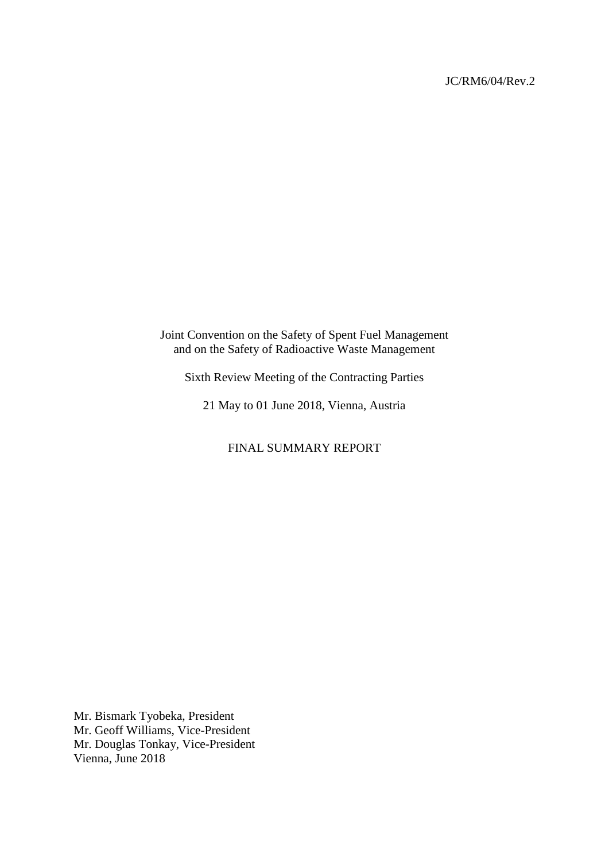### JC/RM6/04/Rev.2

Joint Convention on the Safety of Spent Fuel Management and on the Safety of Radioactive Waste Management

Sixth Review Meeting of the Contracting Parties

21 May to 01 June 2018, Vienna, Austria

FINAL SUMMARY REPORT

Mr. Bismark Tyobeka, President Mr. Geoff Williams, Vice-President Mr. Douglas Tonkay, Vice-President Vienna, June 2018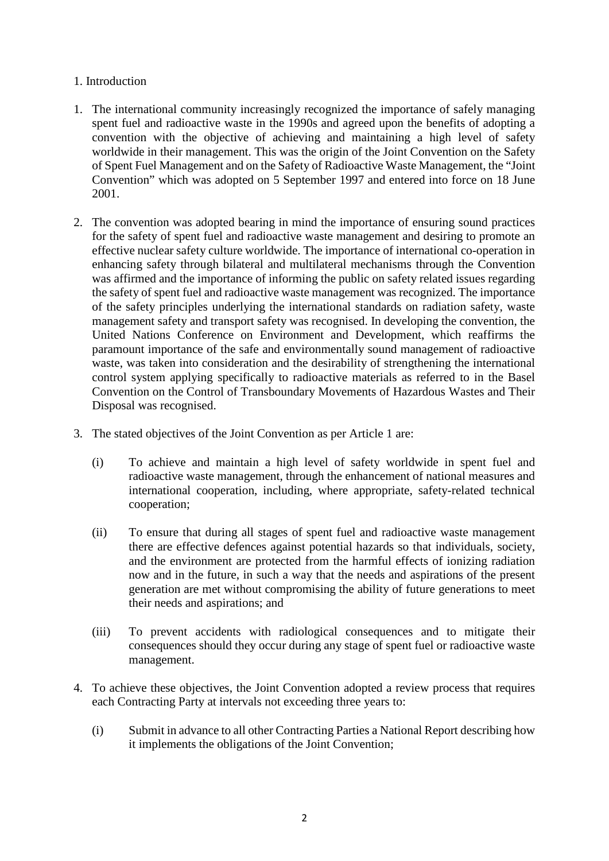## 1. Introduction

- 1. The international community increasingly recognized the importance of safely managing spent fuel and radioactive waste in the 1990s and agreed upon the benefits of adopting a convention with the objective of achieving and maintaining a high level of safety worldwide in their management. This was the origin of the Joint Convention on the Safety of Spent Fuel Management and on the Safety of Radioactive Waste Management, the "Joint Convention" which was adopted on 5 September 1997 and entered into force on 18 June 2001.
- 2. The convention was adopted bearing in mind the importance of ensuring sound practices for the safety of spent fuel and radioactive waste management and desiring to promote an effective nuclear safety culture worldwide. The importance of international co-operation in enhancing safety through bilateral and multilateral mechanisms through the Convention was affirmed and the importance of informing the public on safety related issues regarding the safety of spent fuel and radioactive waste management was recognized. The importance of the safety principles underlying the international standards on radiation safety, waste management safety and transport safety was recognised. In developing the convention, the United Nations Conference on Environment and Development, which reaffirms the paramount importance of the safe and environmentally sound management of radioactive waste, was taken into consideration and the desirability of strengthening the international control system applying specifically to radioactive materials as referred to in the Basel Convention on the Control of Transboundary Movements of Hazardous Wastes and Their Disposal was recognised.
- 3. The stated objectives of the Joint Convention as per Article 1 are:
	- (i) To achieve and maintain a high level of safety worldwide in spent fuel and radioactive waste management, through the enhancement of national measures and international cooperation, including, where appropriate, safety-related technical cooperation;
	- (ii) To ensure that during all stages of spent fuel and radioactive waste management there are effective defences against potential hazards so that individuals, society, and the environment are protected from the harmful effects of ionizing radiation now and in the future, in such a way that the needs and aspirations of the present generation are met without compromising the ability of future generations to meet their needs and aspirations; and
	- (iii) To prevent accidents with radiological consequences and to mitigate their consequences should they occur during any stage of spent fuel or radioactive waste management.
- 4. To achieve these objectives, the Joint Convention adopted a review process that requires each Contracting Party at intervals not exceeding three years to:
	- (i) Submit in advance to all other Contracting Parties a National Report describing how it implements the obligations of the Joint Convention;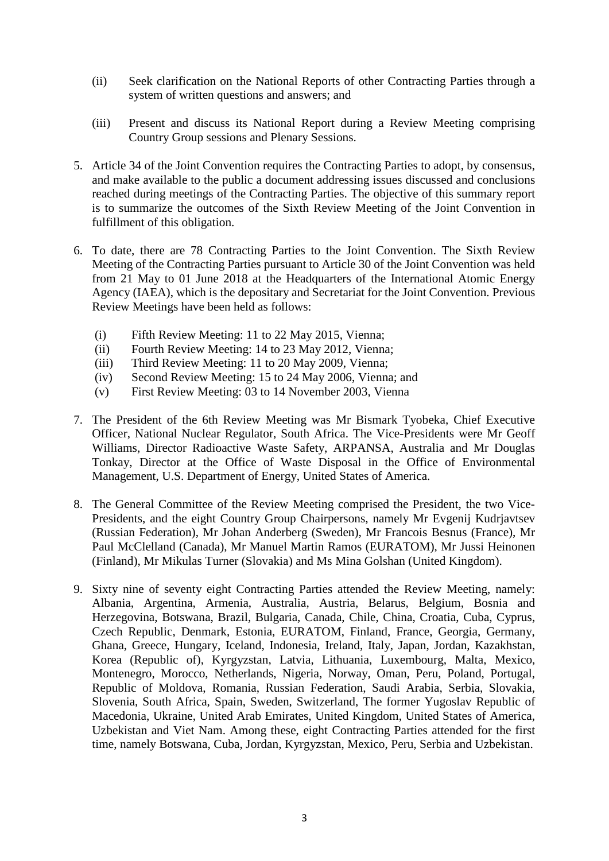- (ii) Seek clarification on the National Reports of other Contracting Parties through a system of written questions and answers; and
- (iii) Present and discuss its National Report during a Review Meeting comprising Country Group sessions and Plenary Sessions.
- 5. Article 34 of the Joint Convention requires the Contracting Parties to adopt, by consensus, and make available to the public a document addressing issues discussed and conclusions reached during meetings of the Contracting Parties. The objective of this summary report is to summarize the outcomes of the Sixth Review Meeting of the Joint Convention in fulfillment of this obligation.
- 6. To date, there are 78 Contracting Parties to the Joint Convention. The Sixth Review Meeting of the Contracting Parties pursuant to Article 30 of the Joint Convention was held from 21 May to 01 June 2018 at the Headquarters of the International Atomic Energy Agency (IAEA), which is the depositary and Secretariat for the Joint Convention. Previous Review Meetings have been held as follows:
	- (i) Fifth Review Meeting: 11 to 22 May 2015, Vienna;
	- (ii) Fourth Review Meeting: 14 to 23 May 2012, Vienna;
	- (iii) Third Review Meeting: 11 to 20 May 2009, Vienna;
	- (iv) Second Review Meeting: 15 to 24 May 2006, Vienna; and
	- (v) First Review Meeting: 03 to 14 November 2003, Vienna
- 7. The President of the 6th Review Meeting was Mr Bismark Tyobeka, Chief Executive Officer, National Nuclear Regulator, South Africa. The Vice-Presidents were Mr Geoff Williams, Director Radioactive Waste Safety, ARPANSA, Australia and Mr Douglas Tonkay, Director at the Office of Waste Disposal in the Office of Environmental Management, U.S. Department of Energy, United States of America.
- 8. The General Committee of the Review Meeting comprised the President, the two Vice-Presidents, and the eight Country Group Chairpersons, namely Mr Evgenij Kudrjavtsev (Russian Federation), Mr Johan Anderberg (Sweden), Mr Francois Besnus (France), Mr Paul McClelland (Canada), Mr Manuel Martin Ramos (EURATOM), Mr Jussi Heinonen (Finland), Mr Mikulas Turner (Slovakia) and Ms Mina Golshan (United Kingdom).
- 9. Sixty nine of seventy eight Contracting Parties attended the Review Meeting, namely: Albania, Argentina, Armenia, Australia, Austria, Belarus, Belgium, Bosnia and Herzegovina, Botswana, Brazil, Bulgaria, Canada, Chile, China, Croatia, Cuba, Cyprus, Czech Republic, Denmark, Estonia, EURATOM, Finland, France, Georgia, Germany, Ghana, Greece, Hungary, Iceland, Indonesia, Ireland, Italy, Japan, Jordan, Kazakhstan, Korea (Republic of), Kyrgyzstan, Latvia, Lithuania, Luxembourg, Malta, Mexico, Montenegro, Morocco, Netherlands, Nigeria, Norway, Oman, Peru, Poland, Portugal, Republic of Moldova, Romania, Russian Federation, Saudi Arabia, Serbia, Slovakia, Slovenia, South Africa, Spain, Sweden, Switzerland, The former Yugoslav Republic of Macedonia, Ukraine, United Arab Emirates, United Kingdom, United States of America, Uzbekistan and Viet Nam. Among these, eight Contracting Parties attended for the first time, namely Botswana, Cuba, Jordan, Kyrgyzstan, Mexico, Peru, Serbia and Uzbekistan.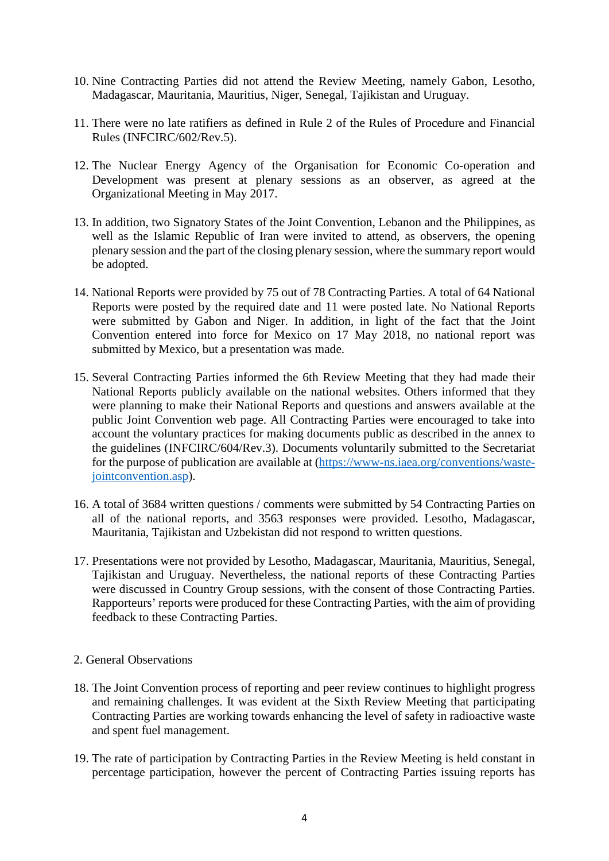- 10. Nine Contracting Parties did not attend the Review Meeting, namely Gabon, Lesotho, Madagascar, Mauritania, Mauritius, Niger, Senegal, Tajikistan and Uruguay.
- 11. There were no late ratifiers as defined in Rule 2 of the Rules of Procedure and Financial Rules (INFCIRC/602/Rev.5).
- 12. The Nuclear Energy Agency of the Organisation for Economic Co-operation and Development was present at plenary sessions as an observer, as agreed at the Organizational Meeting in May 2017.
- 13. In addition, two Signatory States of the Joint Convention, Lebanon and the Philippines, as well as the Islamic Republic of Iran were invited to attend, as observers, the opening plenary session and the part of the closing plenary session, where the summary report would be adopted.
- 14. National Reports were provided by 75 out of 78 Contracting Parties. A total of 64 National Reports were posted by the required date and 11 were posted late. No National Reports were submitted by Gabon and Niger. In addition, in light of the fact that the Joint Convention entered into force for Mexico on 17 May 2018, no national report was submitted by Mexico, but a presentation was made.
- 15. Several Contracting Parties informed the 6th Review Meeting that they had made their National Reports publicly available on the national websites. Others informed that they were planning to make their National Reports and questions and answers available at the public Joint Convention web page. All Contracting Parties were encouraged to take into account the voluntary practices for making documents public as described in the annex to the guidelines (INFCIRC/604/Rev.3). Documents voluntarily submitted to the Secretariat for the purpose of publication are available at [\(https://www-ns.iaea.org/conventions/waste](https://www-ns.iaea.org/conventions/waste-jointconvention.asp)[jointconvention.asp\)](https://www-ns.iaea.org/conventions/waste-jointconvention.asp).
- 16. A total of 3684 written questions / comments were submitted by 54 Contracting Parties on all of the national reports, and 3563 responses were provided. Lesotho, Madagascar, Mauritania, Tajikistan and Uzbekistan did not respond to written questions.
- 17. Presentations were not provided by Lesotho, Madagascar, Mauritania, Mauritius, Senegal, Tajikistan and Uruguay. Nevertheless, the national reports of these Contracting Parties were discussed in Country Group sessions, with the consent of those Contracting Parties. Rapporteurs' reports were produced for these Contracting Parties, with the aim of providing feedback to these Contracting Parties.
- 2. General Observations
- 18. The Joint Convention process of reporting and peer review continues to highlight progress and remaining challenges. It was evident at the Sixth Review Meeting that participating Contracting Parties are working towards enhancing the level of safety in radioactive waste and spent fuel management.
- 19. The rate of participation by Contracting Parties in the Review Meeting is held constant in percentage participation, however the percent of Contracting Parties issuing reports has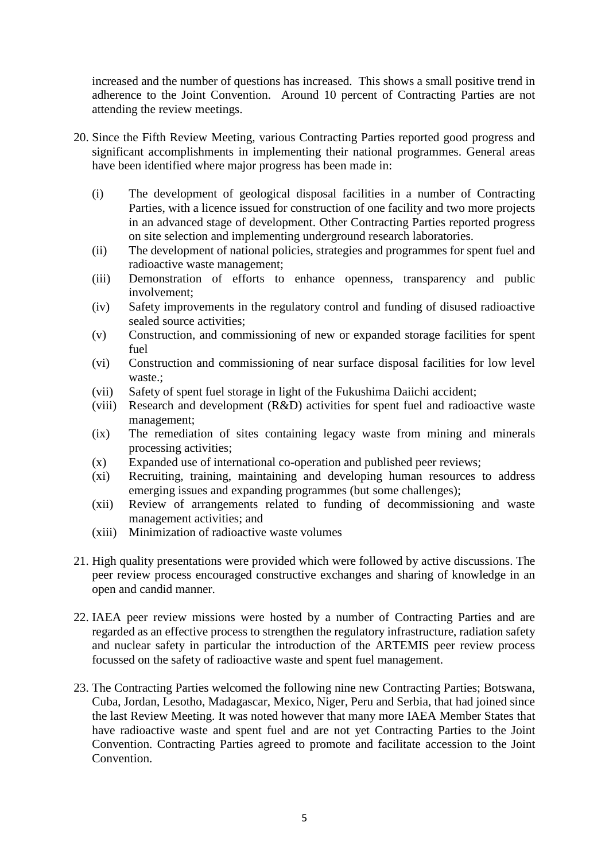increased and the number of questions has increased. This shows a small positive trend in adherence to the Joint Convention. Around 10 percent of Contracting Parties are not attending the review meetings.

- 20. Since the Fifth Review Meeting, various Contracting Parties reported good progress and significant accomplishments in implementing their national programmes. General areas have been identified where major progress has been made in:
	- (i) The development of geological disposal facilities in a number of Contracting Parties, with a licence issued for construction of one facility and two more projects in an advanced stage of development. Other Contracting Parties reported progress on site selection and implementing underground research laboratories.
	- (ii) The development of national policies, strategies and programmes for spent fuel and radioactive waste management;
	- (iii) Demonstration of efforts to enhance openness, transparency and public involvement;
	- (iv) Safety improvements in the regulatory control and funding of disused radioactive sealed source activities;
	- (v) Construction, and commissioning of new or expanded storage facilities for spent fuel
	- (vi) Construction and commissioning of near surface disposal facilities for low level waste.;
	- (vii) Safety of spent fuel storage in light of the Fukushima Daiichi accident;
	- (viii) Research and development (R&D) activities for spent fuel and radioactive waste management;
	- (ix) The remediation of sites containing legacy waste from mining and minerals processing activities;
	- (x) Expanded use of international co-operation and published peer reviews;
	- (xi) Recruiting, training, maintaining and developing human resources to address emerging issues and expanding programmes (but some challenges);
	- (xii) Review of arrangements related to funding of decommissioning and waste management activities; and
	- (xiii) Minimization of radioactive waste volumes
- 21. High quality presentations were provided which were followed by active discussions. The peer review process encouraged constructive exchanges and sharing of knowledge in an open and candid manner.
- 22. IAEA peer review missions were hosted by a number of Contracting Parties and are regarded as an effective process to strengthen the regulatory infrastructure, radiation safety and nuclear safety in particular the introduction of the ARTEMIS peer review process focussed on the safety of radioactive waste and spent fuel management.
- 23. The Contracting Parties welcomed the following nine new Contracting Parties; Botswana, Cuba, Jordan, Lesotho, Madagascar, Mexico, Niger, Peru and Serbia, that had joined since the last Review Meeting. It was noted however that many more IAEA Member States that have radioactive waste and spent fuel and are not yet Contracting Parties to the Joint Convention. Contracting Parties agreed to promote and facilitate accession to the Joint **Convention**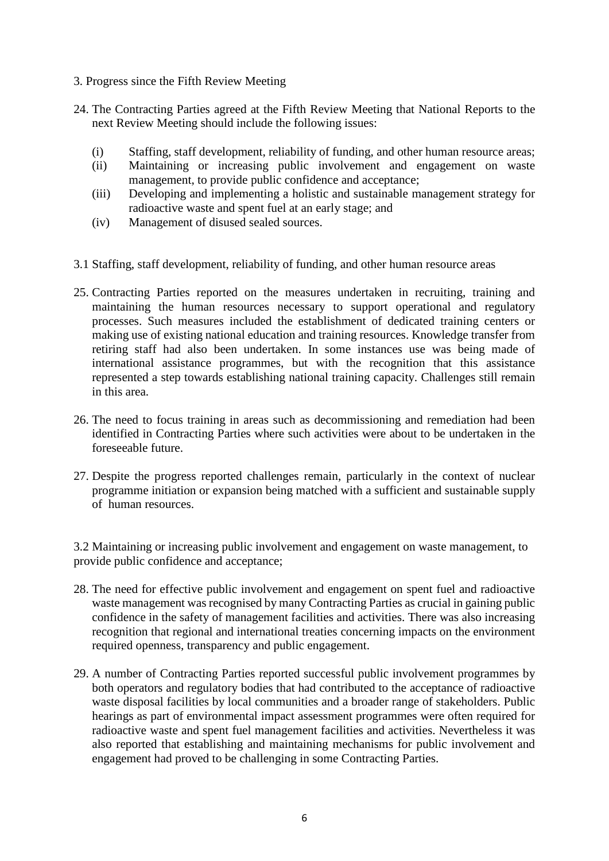- 3. Progress since the Fifth Review Meeting
- 24. The Contracting Parties agreed at the Fifth Review Meeting that National Reports to the next Review Meeting should include the following issues:
	- (i) Staffing, staff development, reliability of funding, and other human resource areas;
	- (ii) Maintaining or increasing public involvement and engagement on waste management, to provide public confidence and acceptance;
	- (iii) Developing and implementing a holistic and sustainable management strategy for radioactive waste and spent fuel at an early stage; and
	- (iv) Management of disused sealed sources.
- 3.1 Staffing, staff development, reliability of funding, and other human resource areas
- 25. Contracting Parties reported on the measures undertaken in recruiting, training and maintaining the human resources necessary to support operational and regulatory processes. Such measures included the establishment of dedicated training centers or making use of existing national education and training resources. Knowledge transfer from retiring staff had also been undertaken. In some instances use was being made of international assistance programmes, but with the recognition that this assistance represented a step towards establishing national training capacity. Challenges still remain in this area.
- 26. The need to focus training in areas such as decommissioning and remediation had been identified in Contracting Parties where such activities were about to be undertaken in the foreseeable future.
- 27. Despite the progress reported challenges remain, particularly in the context of nuclear programme initiation or expansion being matched with a sufficient and sustainable supply of human resources.

3.2 Maintaining or increasing public involvement and engagement on waste management, to provide public confidence and acceptance;

- 28. The need for effective public involvement and engagement on spent fuel and radioactive waste management was recognised by many Contracting Parties as crucial in gaining public confidence in the safety of management facilities and activities. There was also increasing recognition that regional and international treaties concerning impacts on the environment required openness, transparency and public engagement.
- 29. A number of Contracting Parties reported successful public involvement programmes by both operators and regulatory bodies that had contributed to the acceptance of radioactive waste disposal facilities by local communities and a broader range of stakeholders. Public hearings as part of environmental impact assessment programmes were often required for radioactive waste and spent fuel management facilities and activities. Nevertheless it was also reported that establishing and maintaining mechanisms for public involvement and engagement had proved to be challenging in some Contracting Parties.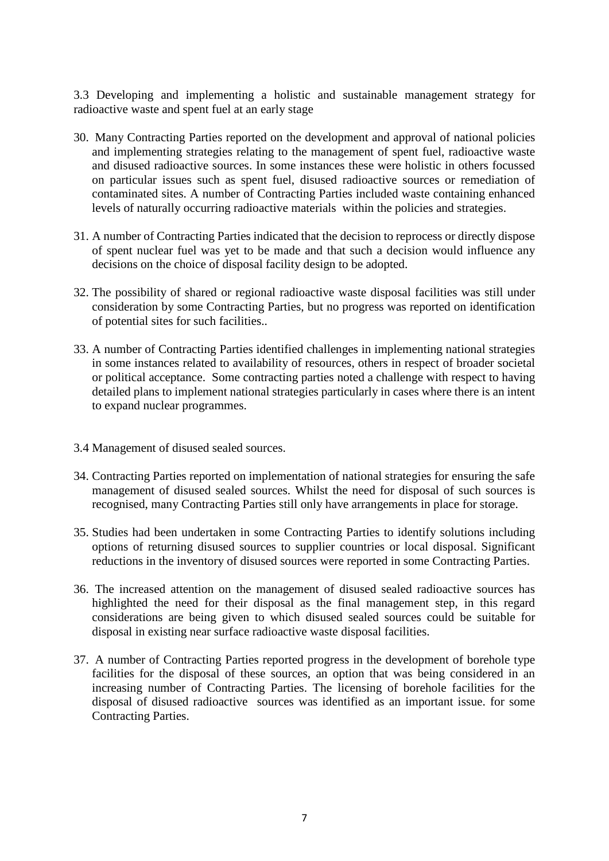3.3 Developing and implementing a holistic and sustainable management strategy for radioactive waste and spent fuel at an early stage

- 30. Many Contracting Parties reported on the development and approval of national policies and implementing strategies relating to the management of spent fuel, radioactive waste and disused radioactive sources. In some instances these were holistic in others focussed on particular issues such as spent fuel, disused radioactive sources or remediation of contaminated sites. A number of Contracting Parties included waste containing enhanced levels of naturally occurring radioactive materials within the policies and strategies.
- 31. A number of Contracting Parties indicated that the decision to reprocess or directly dispose of spent nuclear fuel was yet to be made and that such a decision would influence any decisions on the choice of disposal facility design to be adopted.
- 32. The possibility of shared or regional radioactive waste disposal facilities was still under consideration by some Contracting Parties, but no progress was reported on identification of potential sites for such facilities..
- 33. A number of Contracting Parties identified challenges in implementing national strategies in some instances related to availability of resources, others in respect of broader societal or political acceptance. Some contracting parties noted a challenge with respect to having detailed plans to implement national strategies particularly in cases where there is an intent to expand nuclear programmes.
- 3.4 Management of disused sealed sources.
- 34. Contracting Parties reported on implementation of national strategies for ensuring the safe management of disused sealed sources. Whilst the need for disposal of such sources is recognised, many Contracting Parties still only have arrangements in place for storage.
- 35. Studies had been undertaken in some Contracting Parties to identify solutions including options of returning disused sources to supplier countries or local disposal. Significant reductions in the inventory of disused sources were reported in some Contracting Parties.
- 36. The increased attention on the management of disused sealed radioactive sources has highlighted the need for their disposal as the final management step, in this regard considerations are being given to which disused sealed sources could be suitable for disposal in existing near surface radioactive waste disposal facilities.
- 37. A number of Contracting Parties reported progress in the development of borehole type facilities for the disposal of these sources, an option that was being considered in an increasing number of Contracting Parties. The licensing of borehole facilities for the disposal of disused radioactive sources was identified as an important issue. for some Contracting Parties.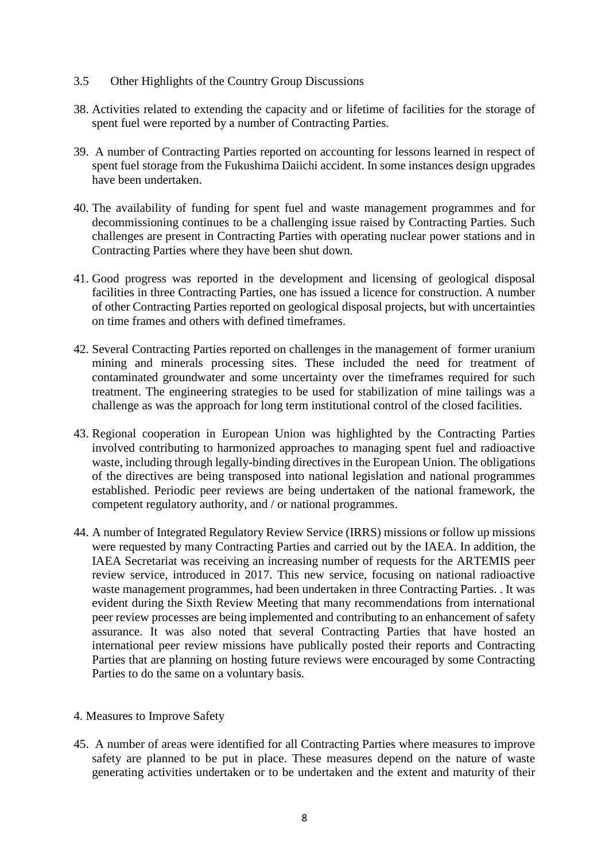## 3.5 Other Highlights of the Country Group Discussions

- 38. Activities related to extending the capacity and or lifetime of facilities for the storage of spent fuel were reported by a number of Contracting Parties.
- 39. A number of Contracting Parties reported on accounting for lessons learned in respect of spent fuel storage from the Fukushima Daiichi accident. In some instances design upgrades have been undertaken.
- 40. The availability of funding for spent fuel and waste management programmes and for decommissioning continues to be a challenging issue raised by Contracting Parties. Such challenges are present in Contracting Parties with operating nuclear power stations and in Contracting Parties where they have been shut down.
- 41. Good progress was reported in the development and licensing of geological disposal facilities in three Contracting Parties, one has issued a licence for construction. A number of other Contracting Parties reported on geological disposal projects, but with uncertainties on time frames and others with defined timeframes.
- 42. Several Contracting Parties reported on challenges in the management of former uranium mining and minerals processing sites. These included the need for treatment of contaminated groundwater and some uncertainty over the timeframes required for such treatment. The engineering strategies to be used for stabilization of mine tailings was a challenge as was the approach for long term institutional control of the closed facilities.
- 43. Regional cooperation in European Union was highlighted by the Contracting Parties involved contributing to harmonized approaches to managing spent fuel and radioactive waste, including through legally-binding directives in the European Union. The obligations of the directives are being transposed into national legislation and national programmes established. Periodic peer reviews are being undertaken of the national framework, the competent regulatory authority, and / or national programmes.
- 44. A number of Integrated Regulatory Review Service (IRRS) missions or follow up missions were requested by many Contracting Parties and carried out by the IAEA. In addition, the IAEA Secretariat was receiving an increasing number of requests for the ARTEMIS peer review service, introduced in 2017. This new service, focusing on national radioactive waste management programmes, had been undertaken in three Contracting Parties. . It was evident during the Sixth Review Meeting that many recommendations from international peer review processes are being implemented and contributing to an enhancement of safety assurance. It was also noted that several Contracting Parties that have hosted an international peer review missions have publically posted their reports and Contracting Parties that are planning on hosting future reviews were encouraged by some Contracting Parties to do the same on a voluntary basis.
- 4. Measures to Improve Safety
- 45. A number of areas were identified for all Contracting Parties where measures to improve safety are planned to be put in place. These measures depend on the nature of waste generating activities undertaken or to be undertaken and the extent and maturity of their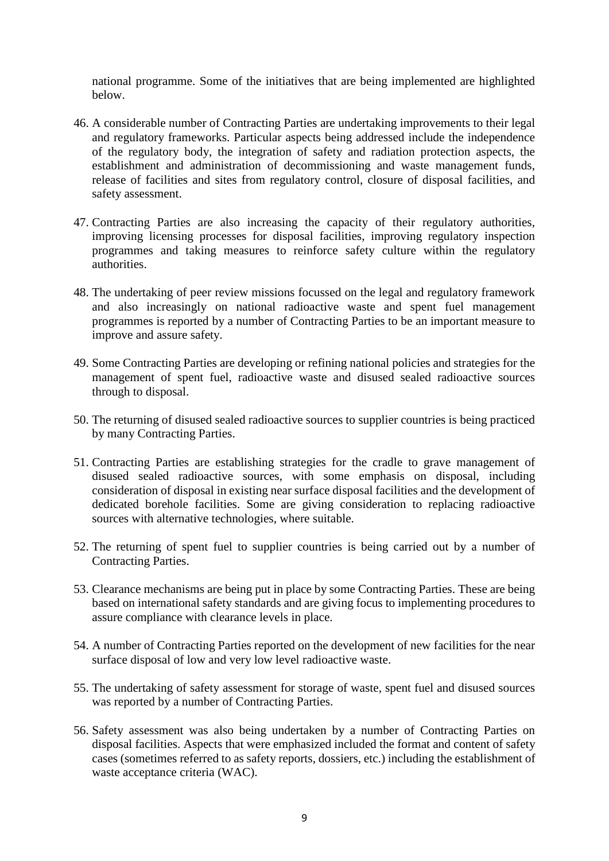national programme. Some of the initiatives that are being implemented are highlighted below.

- 46. A considerable number of Contracting Parties are undertaking improvements to their legal and regulatory frameworks. Particular aspects being addressed include the independence of the regulatory body, the integration of safety and radiation protection aspects, the establishment and administration of decommissioning and waste management funds, release of facilities and sites from regulatory control, closure of disposal facilities, and safety assessment.
- 47. Contracting Parties are also increasing the capacity of their regulatory authorities, improving licensing processes for disposal facilities, improving regulatory inspection programmes and taking measures to reinforce safety culture within the regulatory authorities.
- 48. The undertaking of peer review missions focussed on the legal and regulatory framework and also increasingly on national radioactive waste and spent fuel management programmes is reported by a number of Contracting Parties to be an important measure to improve and assure safety.
- 49. Some Contracting Parties are developing or refining national policies and strategies for the management of spent fuel, radioactive waste and disused sealed radioactive sources through to disposal.
- 50. The returning of disused sealed radioactive sources to supplier countries is being practiced by many Contracting Parties.
- 51. Contracting Parties are establishing strategies for the cradle to grave management of disused sealed radioactive sources, with some emphasis on disposal, including consideration of disposal in existing near surface disposal facilities and the development of dedicated borehole facilities. Some are giving consideration to replacing radioactive sources with alternative technologies, where suitable.
- 52. The returning of spent fuel to supplier countries is being carried out by a number of Contracting Parties.
- 53. Clearance mechanisms are being put in place by some Contracting Parties. These are being based on international safety standards and are giving focus to implementing procedures to assure compliance with clearance levels in place.
- 54. A number of Contracting Parties reported on the development of new facilities for the near surface disposal of low and very low level radioactive waste.
- 55. The undertaking of safety assessment for storage of waste, spent fuel and disused sources was reported by a number of Contracting Parties.
- 56. Safety assessment was also being undertaken by a number of Contracting Parties on disposal facilities. Aspects that were emphasized included the format and content of safety cases (sometimes referred to as safety reports, dossiers, etc.) including the establishment of waste acceptance criteria (WAC).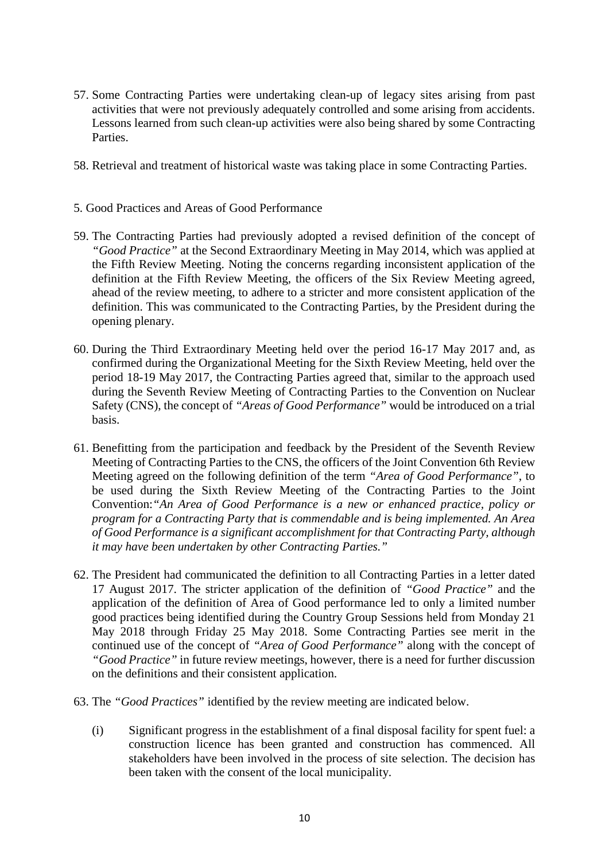- 57. Some Contracting Parties were undertaking clean-up of legacy sites arising from past activities that were not previously adequately controlled and some arising from accidents. Lessons learned from such clean-up activities were also being shared by some Contracting Parties.
- 58. Retrieval and treatment of historical waste was taking place in some Contracting Parties.
- 5. Good Practices and Areas of Good Performance
- 59. The Contracting Parties had previously adopted a revised definition of the concept of *"Good Practice"* at the Second Extraordinary Meeting in May 2014, which was applied at the Fifth Review Meeting. Noting the concerns regarding inconsistent application of the definition at the Fifth Review Meeting, the officers of the Six Review Meeting agreed, ahead of the review meeting, to adhere to a stricter and more consistent application of the definition. This was communicated to the Contracting Parties, by the President during the opening plenary.
- 60. During the Third Extraordinary Meeting held over the period 16-17 May 2017 and, as confirmed during the Organizational Meeting for the Sixth Review Meeting, held over the period 18-19 May 2017, the Contracting Parties agreed that, similar to the approach used during the Seventh Review Meeting of Contracting Parties to the Convention on Nuclear Safety (CNS), the concept of *"Areas of Good Performance"* would be introduced on a trial basis.
- 61. Benefitting from the participation and feedback by the President of the Seventh Review Meeting of Contracting Parties to the CNS, the officers of the Joint Convention 6th Review Meeting agreed on the following definition of the term *"Area of Good Performance"*, to be used during the Sixth Review Meeting of the Contracting Parties to the Joint Convention:*"An Area of Good Performance is a new or enhanced practice, policy or program for a Contracting Party that is commendable and is being implemented. An Area of Good Performance is a significant accomplishment for that Contracting Party, although it may have been undertaken by other Contracting Parties."*
- 62. The President had communicated the definition to all Contracting Parties in a letter dated 17 August 2017. The stricter application of the definition of *"Good Practice"* and the application of the definition of Area of Good performance led to only a limited number good practices being identified during the Country Group Sessions held from Monday 21 May 2018 through Friday 25 May 2018. Some Contracting Parties see merit in the continued use of the concept of *"Area of Good Performance"* along with the concept of *"Good Practice"* in future review meetings, however, there is a need for further discussion on the definitions and their consistent application.
- 63. The *"Good Practices"* identified by the review meeting are indicated below.
	- (i) Significant progress in the establishment of a final disposal facility for spent fuel: a construction licence has been granted and construction has commenced. All stakeholders have been involved in the process of site selection. The decision has been taken with the consent of the local municipality.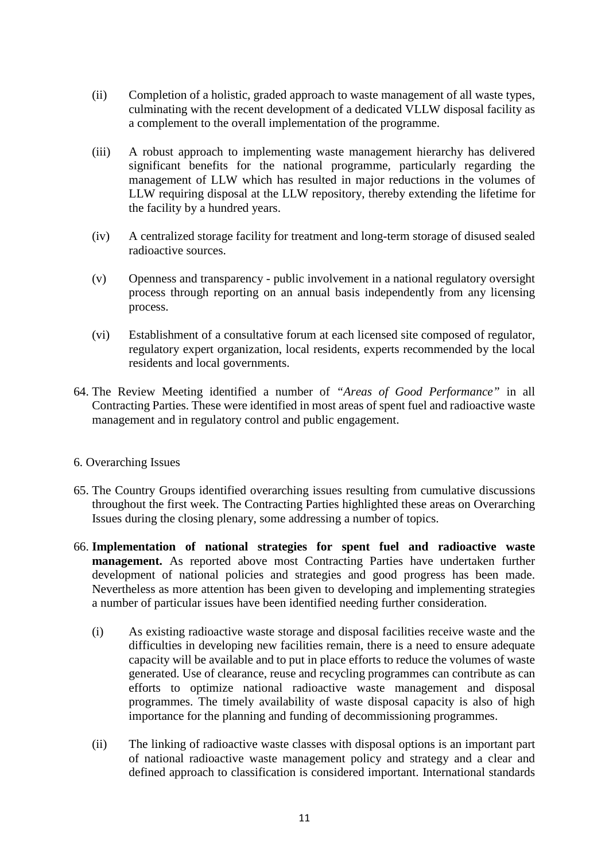- (ii) Completion of a holistic, graded approach to waste management of all waste types, culminating with the recent development of a dedicated VLLW disposal facility as a complement to the overall implementation of the programme.
- (iii) A robust approach to implementing waste management hierarchy has delivered significant benefits for the national programme, particularly regarding the management of LLW which has resulted in major reductions in the volumes of LLW requiring disposal at the LLW repository, thereby extending the lifetime for the facility by a hundred years.
- (iv) A centralized storage facility for treatment and long-term storage of disused sealed radioactive sources.
- (v) Openness and transparency public involvement in a national regulatory oversight process through reporting on an annual basis independently from any licensing process.
- (vi) Establishment of a consultative forum at each licensed site composed of regulator, regulatory expert organization, local residents, experts recommended by the local residents and local governments.
- 64. The Review Meeting identified a number of *"Areas of Good Performance"* in all Contracting Parties. These were identified in most areas of spent fuel and radioactive waste management and in regulatory control and public engagement.
- 6. Overarching Issues
- 65. The Country Groups identified overarching issues resulting from cumulative discussions throughout the first week. The Contracting Parties highlighted these areas on Overarching Issues during the closing plenary, some addressing a number of topics.
- 66. **Implementation of national strategies for spent fuel and radioactive waste management.** As reported above most Contracting Parties have undertaken further development of national policies and strategies and good progress has been made. Nevertheless as more attention has been given to developing and implementing strategies a number of particular issues have been identified needing further consideration.
	- (i) As existing radioactive waste storage and disposal facilities receive waste and the difficulties in developing new facilities remain, there is a need to ensure adequate capacity will be available and to put in place efforts to reduce the volumes of waste generated. Use of clearance, reuse and recycling programmes can contribute as can efforts to optimize national radioactive waste management and disposal programmes. The timely availability of waste disposal capacity is also of high importance for the planning and funding of decommissioning programmes.
	- (ii) The linking of radioactive waste classes with disposal options is an important part of national radioactive waste management policy and strategy and a clear and defined approach to classification is considered important. International standards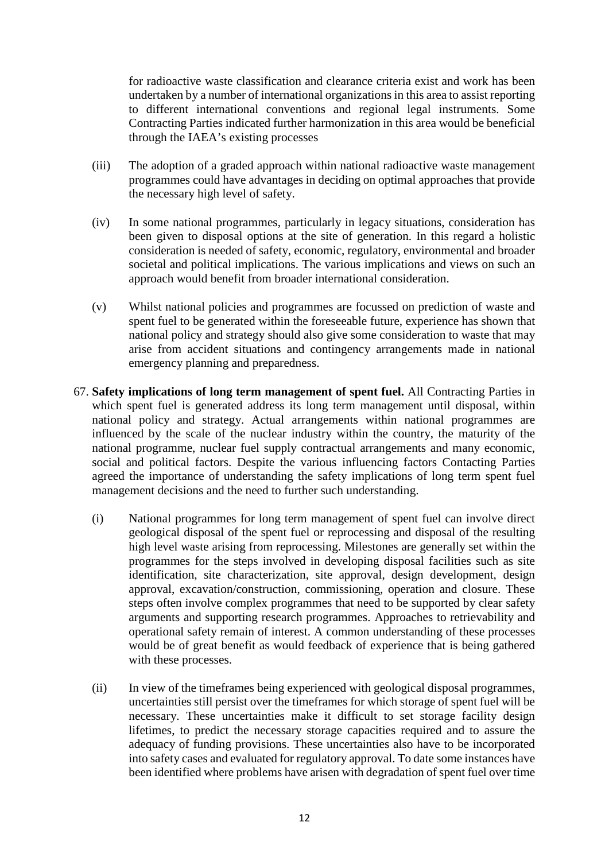for radioactive waste classification and clearance criteria exist and work has been undertaken by a number of international organizations in this area to assist reporting to different international conventions and regional legal instruments. Some Contracting Parties indicated further harmonization in this area would be beneficial through the IAEA's existing processes

- (iii) The adoption of a graded approach within national radioactive waste management programmes could have advantages in deciding on optimal approaches that provide the necessary high level of safety.
- (iv) In some national programmes, particularly in legacy situations, consideration has been given to disposal options at the site of generation. In this regard a holistic consideration is needed of safety, economic, regulatory, environmental and broader societal and political implications. The various implications and views on such an approach would benefit from broader international consideration.
- (v) Whilst national policies and programmes are focussed on prediction of waste and spent fuel to be generated within the foreseeable future, experience has shown that national policy and strategy should also give some consideration to waste that may arise from accident situations and contingency arrangements made in national emergency planning and preparedness.
- 67. **Safety implications of long term management of spent fuel.** All Contracting Parties in which spent fuel is generated address its long term management until disposal, within national policy and strategy. Actual arrangements within national programmes are influenced by the scale of the nuclear industry within the country, the maturity of the national programme, nuclear fuel supply contractual arrangements and many economic, social and political factors. Despite the various influencing factors Contacting Parties agreed the importance of understanding the safety implications of long term spent fuel management decisions and the need to further such understanding.
	- (i) National programmes for long term management of spent fuel can involve direct geological disposal of the spent fuel or reprocessing and disposal of the resulting high level waste arising from reprocessing. Milestones are generally set within the programmes for the steps involved in developing disposal facilities such as site identification, site characterization, site approval, design development, design approval, excavation/construction, commissioning, operation and closure. These steps often involve complex programmes that need to be supported by clear safety arguments and supporting research programmes. Approaches to retrievability and operational safety remain of interest. A common understanding of these processes would be of great benefit as would feedback of experience that is being gathered with these processes.
	- (ii) In view of the timeframes being experienced with geological disposal programmes, uncertainties still persist over the timeframes for which storage of spent fuel will be necessary. These uncertainties make it difficult to set storage facility design lifetimes, to predict the necessary storage capacities required and to assure the adequacy of funding provisions. These uncertainties also have to be incorporated into safety cases and evaluated for regulatory approval. To date some instances have been identified where problems have arisen with degradation of spent fuel over time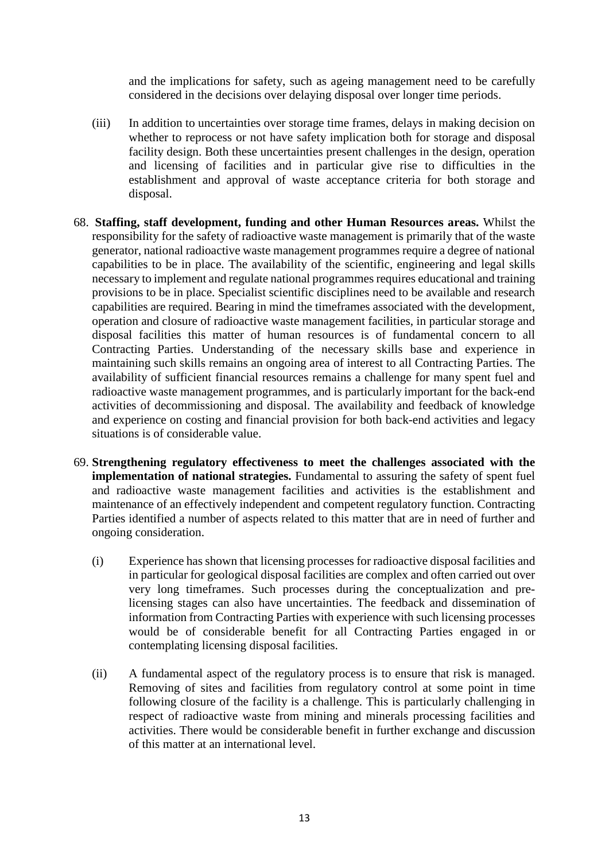and the implications for safety, such as ageing management need to be carefully considered in the decisions over delaying disposal over longer time periods.

- (iii) In addition to uncertainties over storage time frames, delays in making decision on whether to reprocess or not have safety implication both for storage and disposal facility design. Both these uncertainties present challenges in the design, operation and licensing of facilities and in particular give rise to difficulties in the establishment and approval of waste acceptance criteria for both storage and disposal.
- 68. **Staffing, staff development, funding and other Human Resources areas.** Whilst the responsibility for the safety of radioactive waste management is primarily that of the waste generator, national radioactive waste management programmes require a degree of national capabilities to be in place. The availability of the scientific, engineering and legal skills necessary to implement and regulate national programmes requires educational and training provisions to be in place. Specialist scientific disciplines need to be available and research capabilities are required. Bearing in mind the timeframes associated with the development, operation and closure of radioactive waste management facilities, in particular storage and disposal facilities this matter of human resources is of fundamental concern to all Contracting Parties. Understanding of the necessary skills base and experience in maintaining such skills remains an ongoing area of interest to all Contracting Parties. The availability of sufficient financial resources remains a challenge for many spent fuel and radioactive waste management programmes, and is particularly important for the back-end activities of decommissioning and disposal. The availability and feedback of knowledge and experience on costing and financial provision for both back-end activities and legacy situations is of considerable value.
- 69. **Strengthening regulatory effectiveness to meet the challenges associated with the implementation of national strategies.** Fundamental to assuring the safety of spent fuel and radioactive waste management facilities and activities is the establishment and maintenance of an effectively independent and competent regulatory function. Contracting Parties identified a number of aspects related to this matter that are in need of further and ongoing consideration.
	- (i) Experience has shown that licensing processes for radioactive disposal facilities and in particular for geological disposal facilities are complex and often carried out over very long timeframes. Such processes during the conceptualization and prelicensing stages can also have uncertainties. The feedback and dissemination of information from Contracting Parties with experience with such licensing processes would be of considerable benefit for all Contracting Parties engaged in or contemplating licensing disposal facilities.
	- (ii) A fundamental aspect of the regulatory process is to ensure that risk is managed. Removing of sites and facilities from regulatory control at some point in time following closure of the facility is a challenge. This is particularly challenging in respect of radioactive waste from mining and minerals processing facilities and activities. There would be considerable benefit in further exchange and discussion of this matter at an international level.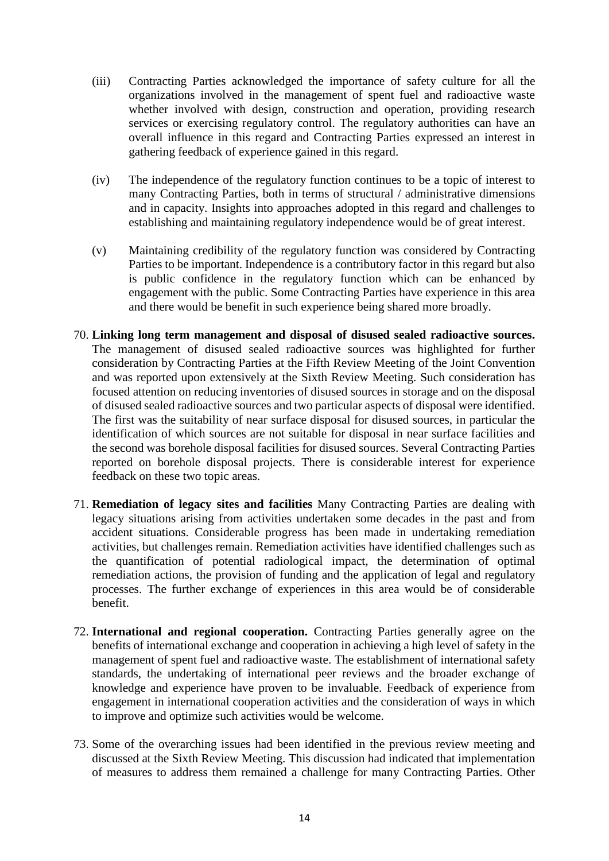- (iii) Contracting Parties acknowledged the importance of safety culture for all the organizations involved in the management of spent fuel and radioactive waste whether involved with design, construction and operation, providing research services or exercising regulatory control. The regulatory authorities can have an overall influence in this regard and Contracting Parties expressed an interest in gathering feedback of experience gained in this regard.
- (iv) The independence of the regulatory function continues to be a topic of interest to many Contracting Parties, both in terms of structural / administrative dimensions and in capacity. Insights into approaches adopted in this regard and challenges to establishing and maintaining regulatory independence would be of great interest.
- (v) Maintaining credibility of the regulatory function was considered by Contracting Parties to be important. Independence is a contributory factor in this regard but also is public confidence in the regulatory function which can be enhanced by engagement with the public. Some Contracting Parties have experience in this area and there would be benefit in such experience being shared more broadly.
- 70. **Linking long term management and disposal of disused sealed radioactive sources.**  The management of disused sealed radioactive sources was highlighted for further consideration by Contracting Parties at the Fifth Review Meeting of the Joint Convention and was reported upon extensively at the Sixth Review Meeting. Such consideration has focused attention on reducing inventories of disused sources in storage and on the disposal of disused sealed radioactive sources and two particular aspects of disposal were identified. The first was the suitability of near surface disposal for disused sources, in particular the identification of which sources are not suitable for disposal in near surface facilities and the second was borehole disposal facilities for disused sources. Several Contracting Parties reported on borehole disposal projects. There is considerable interest for experience feedback on these two topic areas.
- 71. **Remediation of legacy sites and facilities** Many Contracting Parties are dealing with legacy situations arising from activities undertaken some decades in the past and from accident situations. Considerable progress has been made in undertaking remediation activities, but challenges remain. Remediation activities have identified challenges such as the quantification of potential radiological impact, the determination of optimal remediation actions, the provision of funding and the application of legal and regulatory processes. The further exchange of experiences in this area would be of considerable benefit.
- 72. **International and regional cooperation.** Contracting Parties generally agree on the benefits of international exchange and cooperation in achieving a high level of safety in the management of spent fuel and radioactive waste. The establishment of international safety standards, the undertaking of international peer reviews and the broader exchange of knowledge and experience have proven to be invaluable. Feedback of experience from engagement in international cooperation activities and the consideration of ways in which to improve and optimize such activities would be welcome.
- 73. Some of the overarching issues had been identified in the previous review meeting and discussed at the Sixth Review Meeting. This discussion had indicated that implementation of measures to address them remained a challenge for many Contracting Parties. Other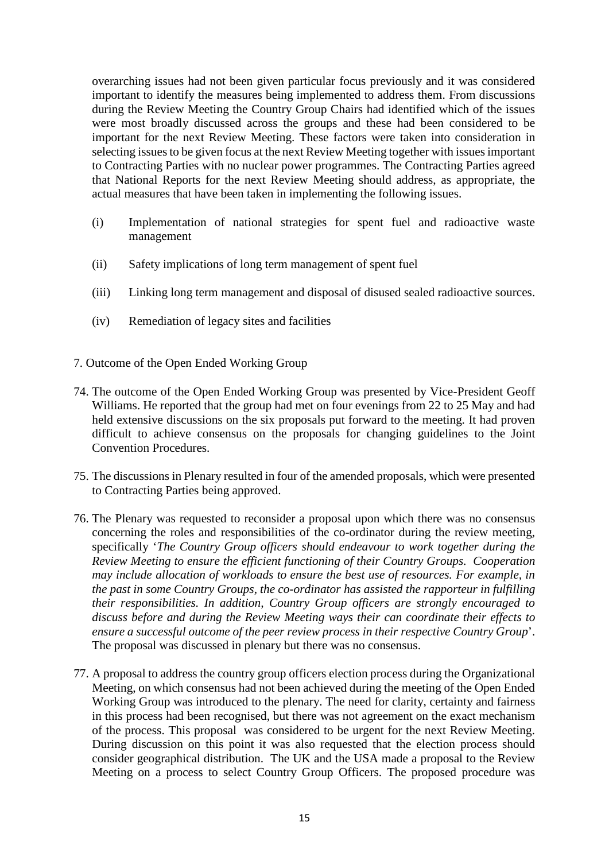overarching issues had not been given particular focus previously and it was considered important to identify the measures being implemented to address them. From discussions during the Review Meeting the Country Group Chairs had identified which of the issues were most broadly discussed across the groups and these had been considered to be important for the next Review Meeting. These factors were taken into consideration in selecting issues to be given focus at the next Review Meeting together with issues important to Contracting Parties with no nuclear power programmes. The Contracting Parties agreed that National Reports for the next Review Meeting should address, as appropriate, the actual measures that have been taken in implementing the following issues.

- (i) Implementation of national strategies for spent fuel and radioactive waste management
- (ii) Safety implications of long term management of spent fuel
- (iii) Linking long term management and disposal of disused sealed radioactive sources.
- (iv) Remediation of legacy sites and facilities
- 7. Outcome of the Open Ended Working Group
- 74. The outcome of the Open Ended Working Group was presented by Vice-President Geoff Williams. He reported that the group had met on four evenings from 22 to 25 May and had held extensive discussions on the six proposals put forward to the meeting. It had proven difficult to achieve consensus on the proposals for changing guidelines to the Joint Convention Procedures.
- 75. The discussions in Plenary resulted in four of the amended proposals, which were presented to Contracting Parties being approved.
- 76. The Plenary was requested to reconsider a proposal upon which there was no consensus concerning the roles and responsibilities of the co-ordinator during the review meeting, specifically '*The Country Group officers should endeavour to work together during the Review Meeting to ensure the efficient functioning of their Country Groups. Cooperation may include allocation of workloads to ensure the best use of resources. For example, in the past in some Country Groups, the co-ordinator has assisted the rapporteur in fulfilling their responsibilities. In addition, Country Group officers are strongly encouraged to discuss before and during the Review Meeting ways their can coordinate their effects to ensure a successful outcome of the peer review process in their respective Country Group*'. The proposal was discussed in plenary but there was no consensus.
- 77. A proposal to address the country group officers election process during the Organizational Meeting, on which consensus had not been achieved during the meeting of the Open Ended Working Group was introduced to the plenary. The need for clarity, certainty and fairness in this process had been recognised, but there was not agreement on the exact mechanism of the process. This proposal was considered to be urgent for the next Review Meeting. During discussion on this point it was also requested that the election process should consider geographical distribution. The UK and the USA made a proposal to the Review Meeting on a process to select Country Group Officers. The proposed procedure was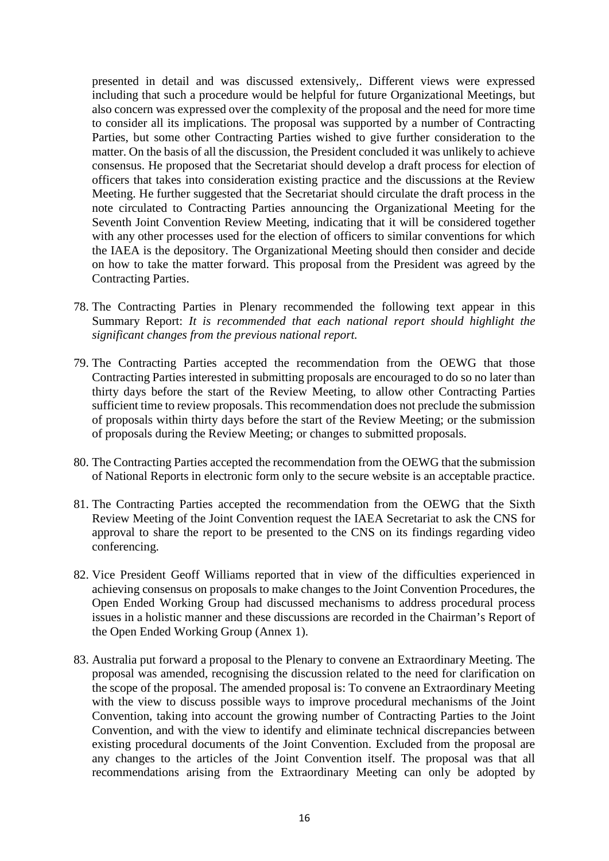presented in detail and was discussed extensively,. Different views were expressed including that such a procedure would be helpful for future Organizational Meetings, but also concern was expressed over the complexity of the proposal and the need for more time to consider all its implications. The proposal was supported by a number of Contracting Parties, but some other Contracting Parties wished to give further consideration to the matter. On the basis of all the discussion, the President concluded it was unlikely to achieve consensus. He proposed that the Secretariat should develop a draft process for election of officers that takes into consideration existing practice and the discussions at the Review Meeting. He further suggested that the Secretariat should circulate the draft process in the note circulated to Contracting Parties announcing the Organizational Meeting for the Seventh Joint Convention Review Meeting, indicating that it will be considered together with any other processes used for the election of officers to similar conventions for which the IAEA is the depository. The Organizational Meeting should then consider and decide on how to take the matter forward. This proposal from the President was agreed by the Contracting Parties.

- 78. The Contracting Parties in Plenary recommended the following text appear in this Summary Report: *It is recommended that each national report should highlight the significant changes from the previous national report.*
- 79. The Contracting Parties accepted the recommendation from the OEWG that those Contracting Parties interested in submitting proposals are encouraged to do so no later than thirty days before the start of the Review Meeting, to allow other Contracting Parties sufficient time to review proposals. This recommendation does not preclude the submission of proposals within thirty days before the start of the Review Meeting; or the submission of proposals during the Review Meeting; or changes to submitted proposals.
- 80. The Contracting Parties accepted the recommendation from the OEWG that the submission of National Reports in electronic form only to the secure website is an acceptable practice.
- 81. The Contracting Parties accepted the recommendation from the OEWG that the Sixth Review Meeting of the Joint Convention request the IAEA Secretariat to ask the CNS for approval to share the report to be presented to the CNS on its findings regarding video conferencing.
- 82. Vice President Geoff Williams reported that in view of the difficulties experienced in achieving consensus on proposals to make changes to the Joint Convention Procedures, the Open Ended Working Group had discussed mechanisms to address procedural process issues in a holistic manner and these discussions are recorded in the Chairman's Report of the Open Ended Working Group (Annex 1).
- 83. Australia put forward a proposal to the Plenary to convene an Extraordinary Meeting. The proposal was amended, recognising the discussion related to the need for clarification on the scope of the proposal. The amended proposal is: To convene an Extraordinary Meeting with the view to discuss possible ways to improve procedural mechanisms of the Joint Convention, taking into account the growing number of Contracting Parties to the Joint Convention, and with the view to identify and eliminate technical discrepancies between existing procedural documents of the Joint Convention. Excluded from the proposal are any changes to the articles of the Joint Convention itself. The proposal was that all recommendations arising from the Extraordinary Meeting can only be adopted by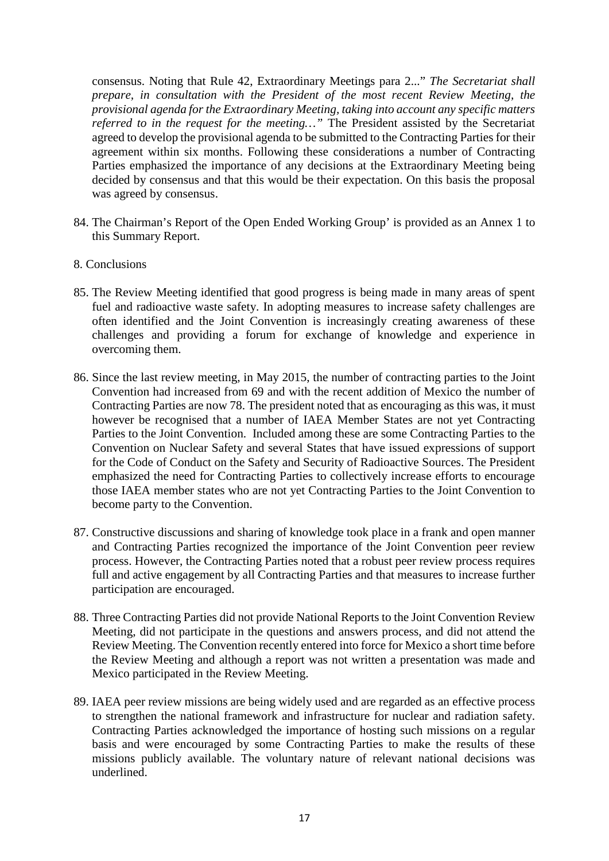consensus. Noting that Rule 42, Extraordinary Meetings para 2..." *The Secretariat shall prepare, in consultation with the President of the most recent Review Meeting, the provisional agenda for the Extraordinary Meeting, taking into account any specific matters referred to in the request for the meeting...*" The President assisted by the Secretariat agreed to develop the provisional agenda to be submitted to the Contracting Parties for their agreement within six months. Following these considerations a number of Contracting Parties emphasized the importance of any decisions at the Extraordinary Meeting being decided by consensus and that this would be their expectation. On this basis the proposal was agreed by consensus.

- 84. The Chairman's Report of the Open Ended Working Group' is provided as an Annex 1 to this Summary Report.
- 8. Conclusions
- 85. The Review Meeting identified that good progress is being made in many areas of spent fuel and radioactive waste safety. In adopting measures to increase safety challenges are often identified and the Joint Convention is increasingly creating awareness of these challenges and providing a forum for exchange of knowledge and experience in overcoming them.
- 86. Since the last review meeting, in May 2015, the number of contracting parties to the Joint Convention had increased from 69 and with the recent addition of Mexico the number of Contracting Parties are now 78. The president noted that as encouraging as this was, it must however be recognised that a number of IAEA Member States are not yet Contracting Parties to the Joint Convention. Included among these are some Contracting Parties to the Convention on Nuclear Safety and several States that have issued expressions of support for the Code of Conduct on the Safety and Security of Radioactive Sources. The President emphasized the need for Contracting Parties to collectively increase efforts to encourage those IAEA member states who are not yet Contracting Parties to the Joint Convention to become party to the Convention.
- 87. Constructive discussions and sharing of knowledge took place in a frank and open manner and Contracting Parties recognized the importance of the Joint Convention peer review process. However, the Contracting Parties noted that a robust peer review process requires full and active engagement by all Contracting Parties and that measures to increase further participation are encouraged.
- 88. Three Contracting Parties did not provide National Reports to the Joint Convention Review Meeting, did not participate in the questions and answers process, and did not attend the Review Meeting. The Convention recently entered into force for Mexico a short time before the Review Meeting and although a report was not written a presentation was made and Mexico participated in the Review Meeting.
- 89. IAEA peer review missions are being widely used and are regarded as an effective process to strengthen the national framework and infrastructure for nuclear and radiation safety. Contracting Parties acknowledged the importance of hosting such missions on a regular basis and were encouraged by some Contracting Parties to make the results of these missions publicly available. The voluntary nature of relevant national decisions was underlined.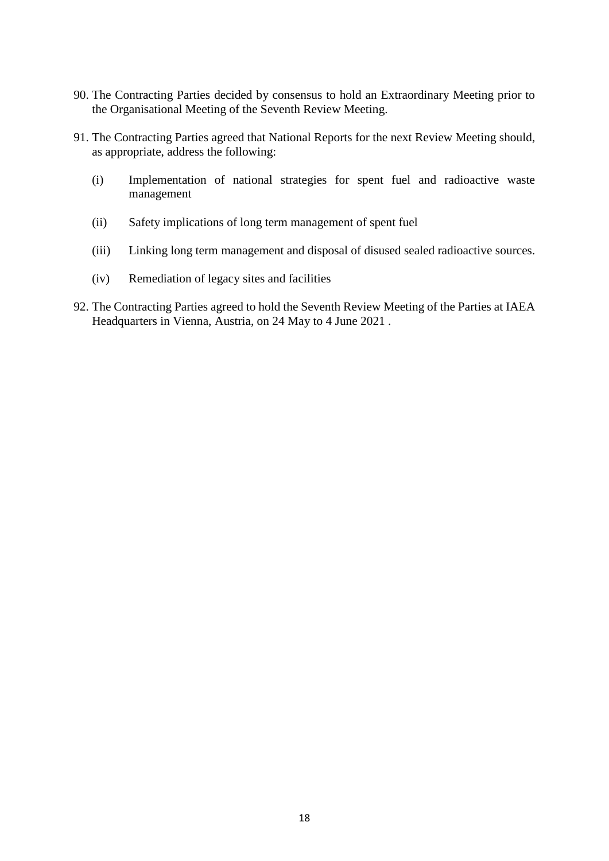- 90. The Contracting Parties decided by consensus to hold an Extraordinary Meeting prior to the Organisational Meeting of the Seventh Review Meeting.
- 91. The Contracting Parties agreed that National Reports for the next Review Meeting should, as appropriate, address the following:
	- (i) Implementation of national strategies for spent fuel and radioactive waste management
	- (ii) Safety implications of long term management of spent fuel
	- (iii) Linking long term management and disposal of disused sealed radioactive sources.
	- (iv) Remediation of legacy sites and facilities
- 92. The Contracting Parties agreed to hold the Seventh Review Meeting of the Parties at IAEA Headquarters in Vienna, Austria, on 24 May to 4 June 2021 .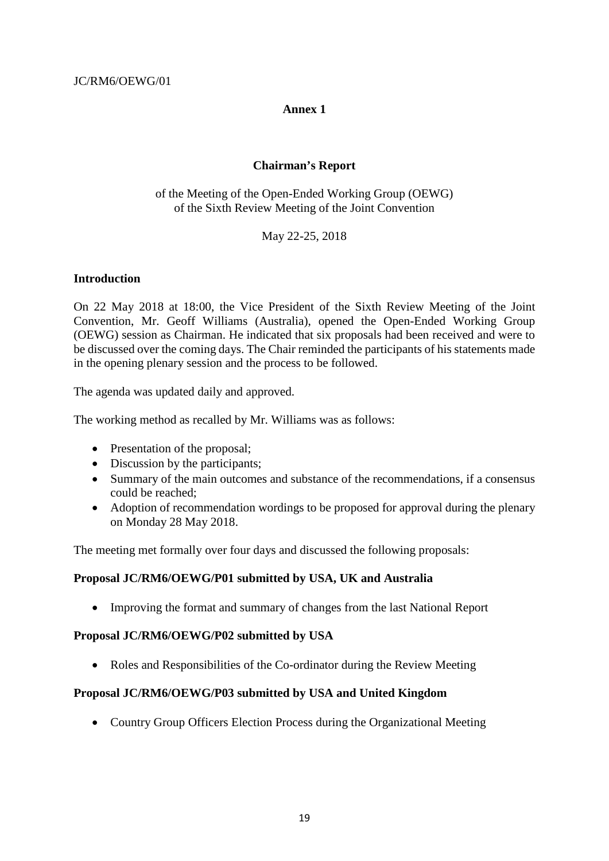#### **Annex 1**

## **Chairman's Report**

of the Meeting of the Open-Ended Working Group (OEWG) of the Sixth Review Meeting of the Joint Convention

May 22-25, 2018

#### **Introduction**

On 22 May 2018 at 18:00, the Vice President of the Sixth Review Meeting of the Joint Convention, Mr. Geoff Williams (Australia), opened the Open-Ended Working Group (OEWG) session as Chairman. He indicated that six proposals had been received and were to be discussed over the coming days. The Chair reminded the participants of his statements made in the opening plenary session and the process to be followed.

The agenda was updated daily and approved.

The working method as recalled by Mr. Williams was as follows:

- Presentation of the proposal;
- Discussion by the participants;
- Summary of the main outcomes and substance of the recommendations, if a consensus could be reached;
- Adoption of recommendation wordings to be proposed for approval during the plenary on Monday 28 May 2018.

The meeting met formally over four days and discussed the following proposals:

### **Proposal JC/RM6/OEWG/P01 submitted by USA, UK and Australia**

• Improving the format and summary of changes from the last National Report

#### **Proposal JC/RM6/OEWG/P02 submitted by USA**

• Roles and Responsibilities of the Co-ordinator during the Review Meeting

### **Proposal JC/RM6/OEWG/P03 submitted by USA and United Kingdom**

• Country Group Officers Election Process during the Organizational Meeting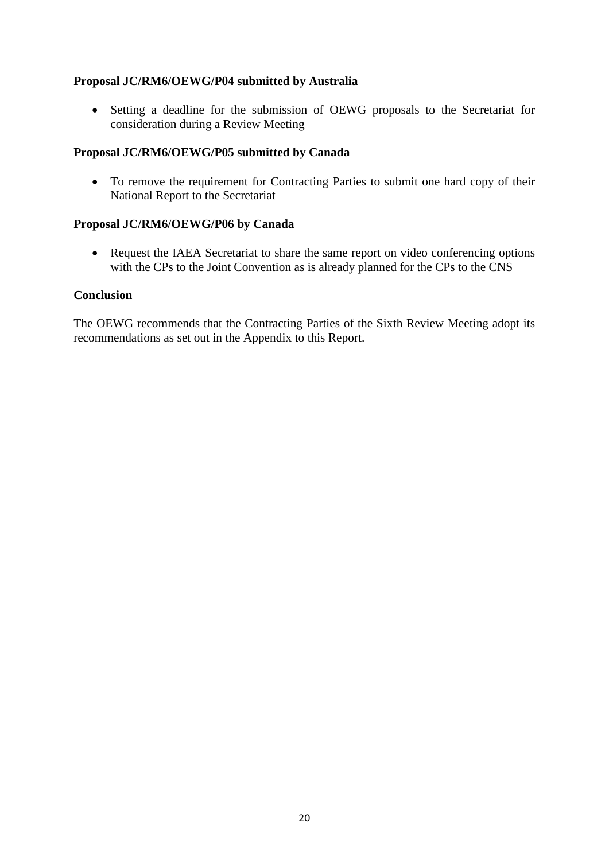## **Proposal JC/RM6/OEWG/P04 submitted by Australia**

• Setting a deadline for the submission of OEWG proposals to the Secretariat for consideration during a Review Meeting

## **Proposal JC/RM6/OEWG/P05 submitted by Canada**

• To remove the requirement for Contracting Parties to submit one hard copy of their National Report to the Secretariat

### **Proposal JC/RM6/OEWG/P06 by Canada**

• Request the IAEA Secretariat to share the same report on video conferencing options with the CPs to the Joint Convention as is already planned for the CPs to the CNS

### **Conclusion**

The OEWG recommends that the Contracting Parties of the Sixth Review Meeting adopt its recommendations as set out in the Appendix to this Report.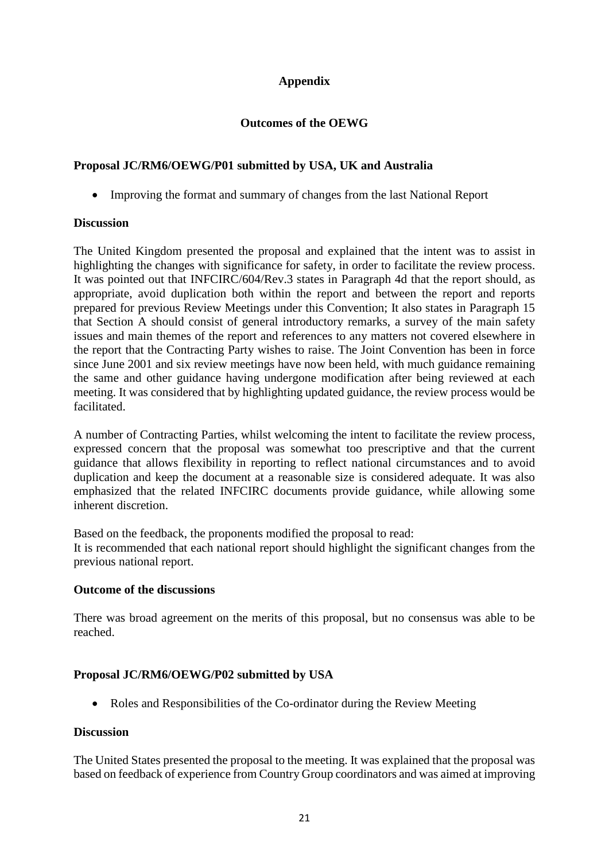# **Appendix**

## **Outcomes of the OEWG**

## **Proposal JC/RM6/OEWG/P01 submitted by USA, UK and Australia**

• Improving the format and summary of changes from the last National Report

### **Discussion**

The United Kingdom presented the proposal and explained that the intent was to assist in highlighting the changes with significance for safety, in order to facilitate the review process. It was pointed out that INFCIRC/604/Rev.3 states in Paragraph 4d that the report should, as appropriate, avoid duplication both within the report and between the report and reports prepared for previous Review Meetings under this Convention; It also states in Paragraph 15 that Section A should consist of general introductory remarks, a survey of the main safety issues and main themes of the report and references to any matters not covered elsewhere in the report that the Contracting Party wishes to raise. The Joint Convention has been in force since June 2001 and six review meetings have now been held, with much guidance remaining the same and other guidance having undergone modification after being reviewed at each meeting. It was considered that by highlighting updated guidance, the review process would be facilitated.

A number of Contracting Parties, whilst welcoming the intent to facilitate the review process, expressed concern that the proposal was somewhat too prescriptive and that the current guidance that allows flexibility in reporting to reflect national circumstances and to avoid duplication and keep the document at a reasonable size is considered adequate. It was also emphasized that the related INFCIRC documents provide guidance, while allowing some inherent discretion.

Based on the feedback, the proponents modified the proposal to read: It is recommended that each national report should highlight the significant changes from the previous national report.

### **Outcome of the discussions**

There was broad agreement on the merits of this proposal, but no consensus was able to be reached.

## **Proposal JC/RM6/OEWG/P02 submitted by USA**

• Roles and Responsibilities of the Co-ordinator during the Review Meeting

### **Discussion**

The United States presented the proposal to the meeting. It was explained that the proposal was based on feedback of experience from Country Group coordinators and was aimed at improving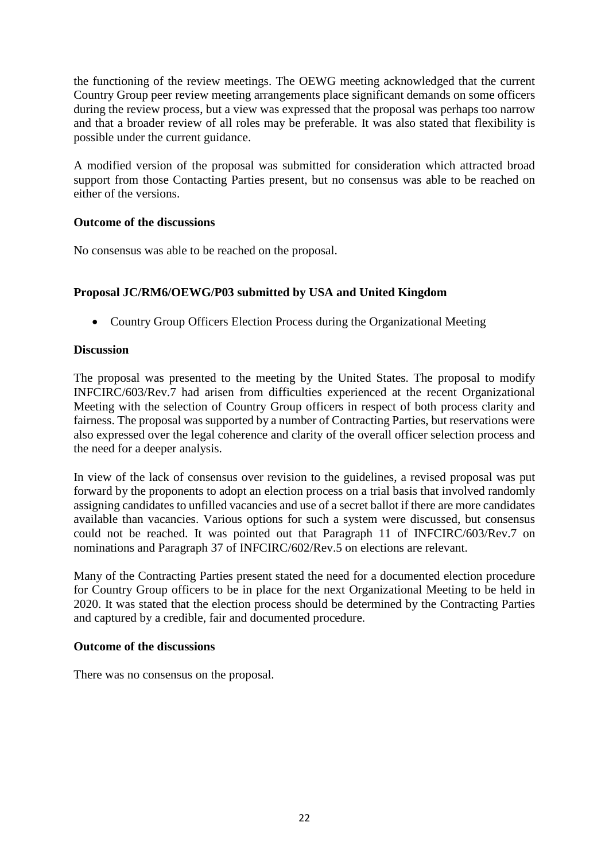the functioning of the review meetings. The OEWG meeting acknowledged that the current Country Group peer review meeting arrangements place significant demands on some officers during the review process, but a view was expressed that the proposal was perhaps too narrow and that a broader review of all roles may be preferable. It was also stated that flexibility is possible under the current guidance.

A modified version of the proposal was submitted for consideration which attracted broad support from those Contacting Parties present, but no consensus was able to be reached on either of the versions.

## **Outcome of the discussions**

No consensus was able to be reached on the proposal.

# **Proposal JC/RM6/OEWG/P03 submitted by USA and United Kingdom**

• Country Group Officers Election Process during the Organizational Meeting

## **Discussion**

The proposal was presented to the meeting by the United States. The proposal to modify INFCIRC/603/Rev.7 had arisen from difficulties experienced at the recent Organizational Meeting with the selection of Country Group officers in respect of both process clarity and fairness. The proposal was supported by a number of Contracting Parties, but reservations were also expressed over the legal coherence and clarity of the overall officer selection process and the need for a deeper analysis.

In view of the lack of consensus over revision to the guidelines, a revised proposal was put forward by the proponents to adopt an election process on a trial basis that involved randomly assigning candidates to unfilled vacancies and use of a secret ballot if there are more candidates available than vacancies. Various options for such a system were discussed, but consensus could not be reached. It was pointed out that Paragraph 11 of INFCIRC/603/Rev.7 on nominations and Paragraph 37 of INFCIRC/602/Rev.5 on elections are relevant.

Many of the Contracting Parties present stated the need for a documented election procedure for Country Group officers to be in place for the next Organizational Meeting to be held in 2020. It was stated that the election process should be determined by the Contracting Parties and captured by a credible, fair and documented procedure.

### **Outcome of the discussions**

There was no consensus on the proposal.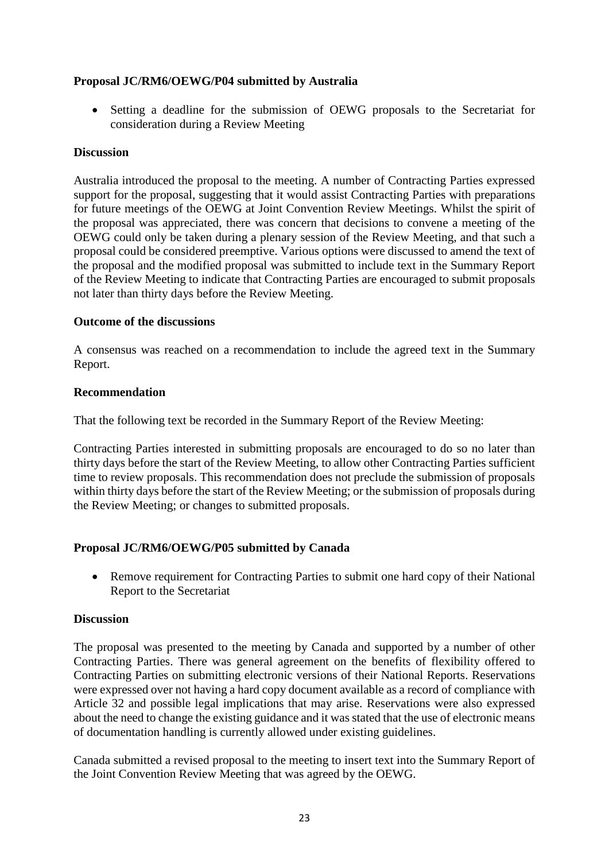## **Proposal JC/RM6/OEWG/P04 submitted by Australia**

• Setting a deadline for the submission of OEWG proposals to the Secretariat for consideration during a Review Meeting

## **Discussion**

Australia introduced the proposal to the meeting. A number of Contracting Parties expressed support for the proposal, suggesting that it would assist Contracting Parties with preparations for future meetings of the OEWG at Joint Convention Review Meetings. Whilst the spirit of the proposal was appreciated, there was concern that decisions to convene a meeting of the OEWG could only be taken during a plenary session of the Review Meeting, and that such a proposal could be considered preemptive. Various options were discussed to amend the text of the proposal and the modified proposal was submitted to include text in the Summary Report of the Review Meeting to indicate that Contracting Parties are encouraged to submit proposals not later than thirty days before the Review Meeting.

## **Outcome of the discussions**

A consensus was reached on a recommendation to include the agreed text in the Summary Report.

## **Recommendation**

That the following text be recorded in the Summary Report of the Review Meeting:

Contracting Parties interested in submitting proposals are encouraged to do so no later than thirty days before the start of the Review Meeting, to allow other Contracting Parties sufficient time to review proposals. This recommendation does not preclude the submission of proposals within thirty days before the start of the Review Meeting; or the submission of proposals during the Review Meeting; or changes to submitted proposals.

## **Proposal JC/RM6/OEWG/P05 submitted by Canada**

• Remove requirement for Contracting Parties to submit one hard copy of their National Report to the Secretariat

### **Discussion**

The proposal was presented to the meeting by Canada and supported by a number of other Contracting Parties. There was general agreement on the benefits of flexibility offered to Contracting Parties on submitting electronic versions of their National Reports. Reservations were expressed over not having a hard copy document available as a record of compliance with Article 32 and possible legal implications that may arise. Reservations were also expressed about the need to change the existing guidance and it was stated that the use of electronic means of documentation handling is currently allowed under existing guidelines.

Canada submitted a revised proposal to the meeting to insert text into the Summary Report of the Joint Convention Review Meeting that was agreed by the OEWG.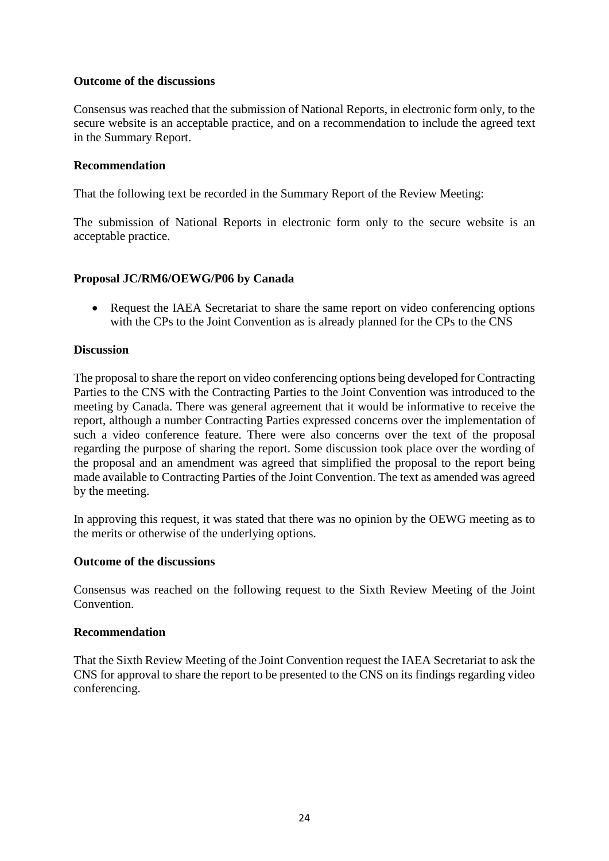## **Outcome of the discussions**

Consensus was reached that the submission of National Reports, in electronic form only, to the secure website is an acceptable practice, and on a recommendation to include the agreed text in the Summary Report.

## **Recommendation**

That the following text be recorded in the Summary Report of the Review Meeting:

The submission of National Reports in electronic form only to the secure website is an acceptable practice.

## **Proposal JC/RM6/OEWG/P06 by Canada**

• Request the IAEA Secretariat to share the same report on video conferencing options with the CPs to the Joint Convention as is already planned for the CPs to the CNS

## **Discussion**

The proposal to share the report on video conferencing options being developed for Contracting Parties to the CNS with the Contracting Parties to the Joint Convention was introduced to the meeting by Canada. There was general agreement that it would be informative to receive the report, although a number Contracting Parties expressed concerns over the implementation of such a video conference feature. There were also concerns over the text of the proposal regarding the purpose of sharing the report. Some discussion took place over the wording of the proposal and an amendment was agreed that simplified the proposal to the report being made available to Contracting Parties of the Joint Convention. The text as amended was agreed by the meeting.

In approving this request, it was stated that there was no opinion by the OEWG meeting as to the merits or otherwise of the underlying options.

### **Outcome of the discussions**

Consensus was reached on the following request to the Sixth Review Meeting of the Joint Convention.

### **Recommendation**

That the Sixth Review Meeting of the Joint Convention request the IAEA Secretariat to ask the CNS for approval to share the report to be presented to the CNS on its findings regarding video conferencing.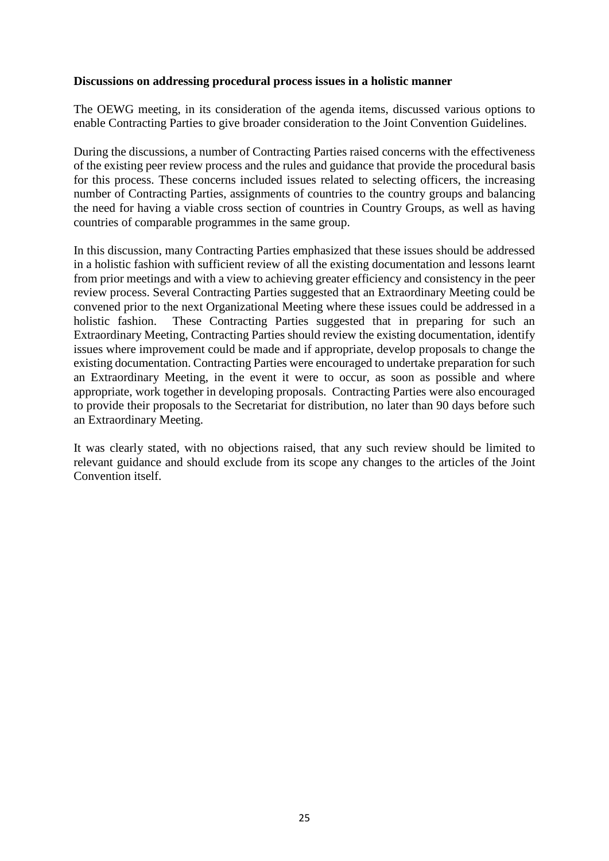#### **Discussions on addressing procedural process issues in a holistic manner**

The OEWG meeting, in its consideration of the agenda items, discussed various options to enable Contracting Parties to give broader consideration to the Joint Convention Guidelines.

During the discussions, a number of Contracting Parties raised concerns with the effectiveness of the existing peer review process and the rules and guidance that provide the procedural basis for this process. These concerns included issues related to selecting officers, the increasing number of Contracting Parties, assignments of countries to the country groups and balancing the need for having a viable cross section of countries in Country Groups, as well as having countries of comparable programmes in the same group.

In this discussion, many Contracting Parties emphasized that these issues should be addressed in a holistic fashion with sufficient review of all the existing documentation and lessons learnt from prior meetings and with a view to achieving greater efficiency and consistency in the peer review process. Several Contracting Parties suggested that an Extraordinary Meeting could be convened prior to the next Organizational Meeting where these issues could be addressed in a holistic fashion. These Contracting Parties suggested that in preparing for such an Extraordinary Meeting, Contracting Parties should review the existing documentation, identify issues where improvement could be made and if appropriate, develop proposals to change the existing documentation. Contracting Parties were encouraged to undertake preparation for such an Extraordinary Meeting, in the event it were to occur, as soon as possible and where appropriate, work together in developing proposals. Contracting Parties were also encouraged to provide their proposals to the Secretariat for distribution, no later than 90 days before such an Extraordinary Meeting.

It was clearly stated, with no objections raised, that any such review should be limited to relevant guidance and should exclude from its scope any changes to the articles of the Joint Convention itself.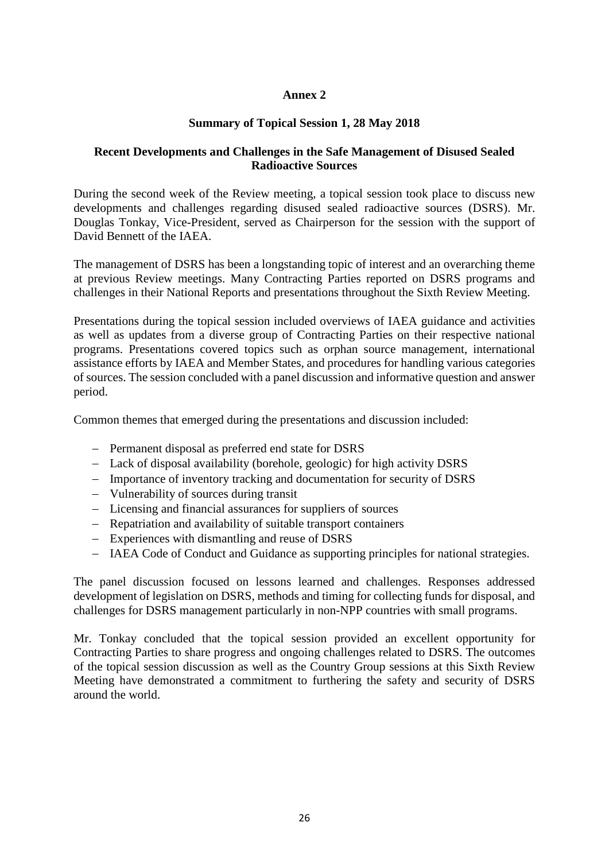## **Annex 2**

## **Summary of Topical Session 1, 28 May 2018**

## **Recent Developments and Challenges in the Safe Management of Disused Sealed Radioactive Sources**

During the second week of the Review meeting, a topical session took place to discuss new developments and challenges regarding disused sealed radioactive sources (DSRS). Mr. Douglas Tonkay, Vice-President, served as Chairperson for the session with the support of David Bennett of the IAEA.

The management of DSRS has been a longstanding topic of interest and an overarching theme at previous Review meetings. Many Contracting Parties reported on DSRS programs and challenges in their National Reports and presentations throughout the Sixth Review Meeting.

Presentations during the topical session included overviews of IAEA guidance and activities as well as updates from a diverse group of Contracting Parties on their respective national programs. Presentations covered topics such as orphan source management, international assistance efforts by IAEA and Member States, and procedures for handling various categories of sources. The session concluded with a panel discussion and informative question and answer period.

Common themes that emerged during the presentations and discussion included:

- − Permanent disposal as preferred end state for DSRS
- − Lack of disposal availability (borehole, geologic) for high activity DSRS
- − Importance of inventory tracking and documentation for security of DSRS
- − Vulnerability of sources during transit
- − Licensing and financial assurances for suppliers of sources
- − Repatriation and availability of suitable transport containers
- − Experiences with dismantling and reuse of DSRS
- − IAEA Code of Conduct and Guidance as supporting principles for national strategies.

The panel discussion focused on lessons learned and challenges. Responses addressed development of legislation on DSRS, methods and timing for collecting funds for disposal, and challenges for DSRS management particularly in non-NPP countries with small programs.

Mr. Tonkay concluded that the topical session provided an excellent opportunity for Contracting Parties to share progress and ongoing challenges related to DSRS. The outcomes of the topical session discussion as well as the Country Group sessions at this Sixth Review Meeting have demonstrated a commitment to furthering the safety and security of DSRS around the world.